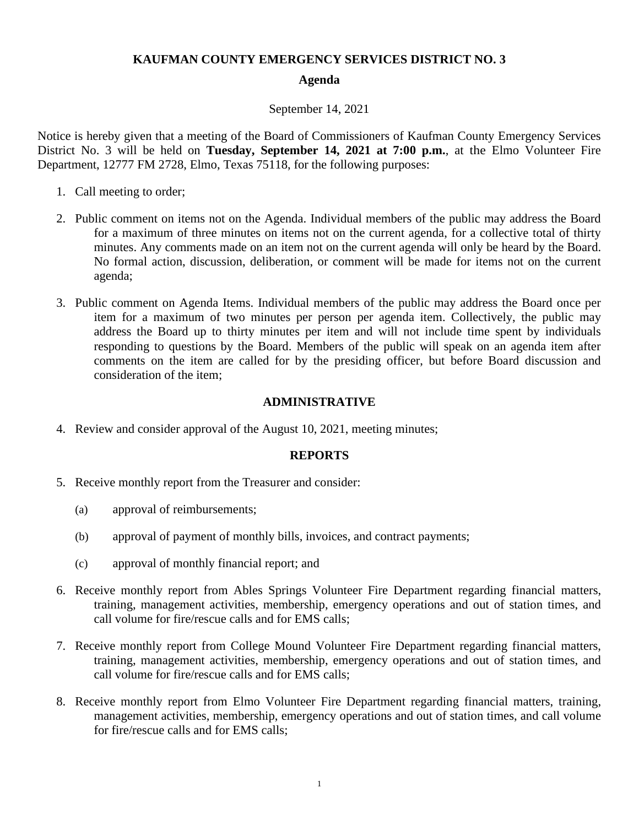### **KAUFMAN COUNTY EMERGENCY SERVICES DISTRICT NO. 3**

## **Agenda**

#### September 14, 2021

Notice is hereby given that a meeting of the Board of Commissioners of Kaufman County Emergency Services District No. 3 will be held on **Tuesday, September 14, 2021 at 7:00 p.m.**, at the Elmo Volunteer Fire Department, 12777 FM 2728, Elmo, Texas 75118, for the following purposes:

- 1. Call meeting to order;
- 2. Public comment on items not on the Agenda. Individual members of the public may address the Board for a maximum of three minutes on items not on the current agenda, for a collective total of thirty minutes. Any comments made on an item not on the current agenda will only be heard by the Board. No formal action, discussion, deliberation, or comment will be made for items not on the current agenda;
- 3. Public comment on Agenda Items. Individual members of the public may address the Board once per item for a maximum of two minutes per person per agenda item. Collectively, the public may address the Board up to thirty minutes per item and will not include time spent by individuals responding to questions by the Board. Members of the public will speak on an agenda item after comments on the item are called for by the presiding officer, but before Board discussion and consideration of the item;

#### **ADMINISTRATIVE**

4. Review and consider approval of the August 10, 2021, meeting minutes;

#### **REPORTS**

- 5. Receive monthly report from the Treasurer and consider:
	- (a) approval of reimbursements;
	- (b) approval of payment of monthly bills, invoices, and contract payments;
	- (c) approval of monthly financial report; and
- 6. Receive monthly report from Ables Springs Volunteer Fire Department regarding financial matters, training, management activities, membership, emergency operations and out of station times, and call volume for fire/rescue calls and for EMS calls;
- 7. Receive monthly report from College Mound Volunteer Fire Department regarding financial matters, training, management activities, membership, emergency operations and out of station times, and call volume for fire/rescue calls and for EMS calls;
- 8. Receive monthly report from Elmo Volunteer Fire Department regarding financial matters, training, management activities, membership, emergency operations and out of station times, and call volume for fire/rescue calls and for EMS calls;